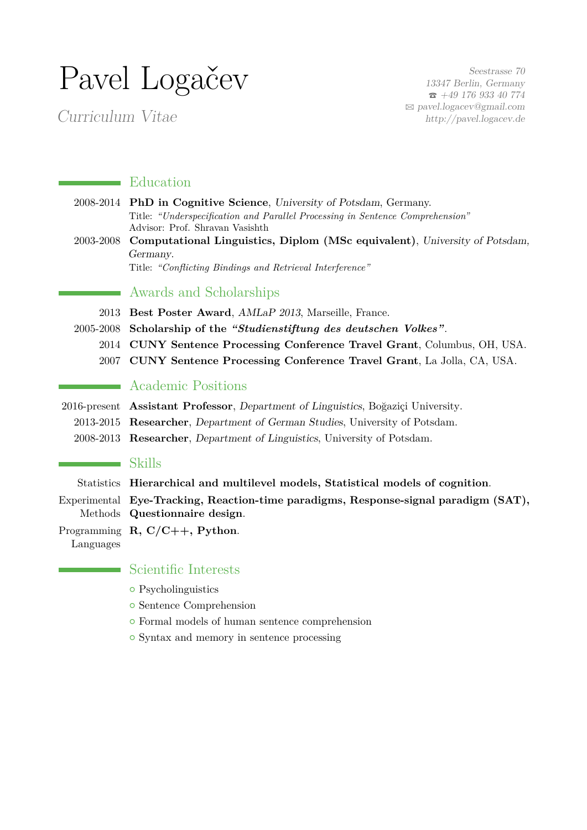# Pavel Logačev

Curriculum Vitae

Seestrasse 70 13347 Berlin, Germany  $\bar{2}$  +49 176 933 40 774 B [pavel.logacev@gmail.com](mailto:pavel.logacev@gmail.com) <http://pavel.logacev.de>

## **Education**

- 2008-2014 **PhD in Cognitive Science**, University of Potsdam, Germany. Title: *"Underspecification and Parallel Processing in Sentence Comprehension"* Advisor: Prof. Shravan Vasishth 2003-2008 **Computational Linguistics, Diplom (MSc equivalent)**, University of Potsdam,
- Germany. Title: *"Conflicting Bindings and Retrieval Interference"*

## Awards and Scholarships

2013 **Best Poster Award**, AMLaP 2013, Marseille, France.

- 2005-2008 **Scholarship of the** *"Studienstiftung des deutschen Volkes"*.
	- 2014 **CUNY Sentence Processing Conference Travel Grant**, Columbus, OH, USA.
	- 2007 **CUNY Sentence Processing Conference Travel Grant**, La Jolla, CA, USA.

# **Academic Positions**

- 2016-present **Assistant Professor**, Department of Linguistics, Boğaziçi University.
	- 2013-2015 **Researcher**, Department of German Studies, University of Potsdam.
	- 2008-2013 **Researcher**, Department of Linguistics, University of Potsdam.

#### Skills

Statistics **Hierarchical and multilevel models, Statistical models of cognition**.

Experimental **Eye-Tracking, Reaction-time paradigms, Response-signal paradigm (SAT),** Methods **Questionnaire design**.

Programming **R, C/C++, Python**. Languages

### Scientific Interests

- Psycholinguistics
- **•** Sentence Comprehension
- { Formal models of human sentence comprehension
- { Syntax and memory in sentence processing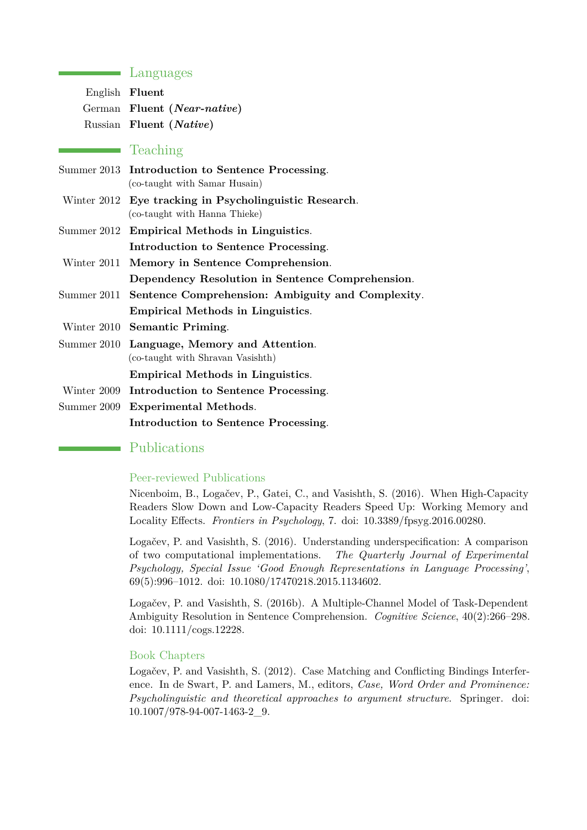## **Languages**

| English Fluent |                             |
|----------------|-----------------------------|
|                | German Fluent (Near-native) |
|                | Russian Fluent (Native)     |

## Teaching

- Summer 2013 **Introduction to Sentence Processing**. (co-taught with Samar Husain)
- Winter 2012 **Eye tracking in Psycholinguistic Research**. (co-taught with Hanna Thieke)
- Summer 2012 **Empirical Methods in Linguistics**. **Introduction to Sentence Processing**.
- Winter 2011 **Memory in Sentence Comprehension**.

**Dependency Resolution in Sentence Comprehension**.

- Summer 2011 **Sentence Comprehension: Ambiguity and Complexity**.
	- **Empirical Methods in Linguistics**.
- Winter 2010 **Semantic Priming**.
- Summer 2010 **Language, Memory and Attention**. (co-taught with Shravan Vasishth)

**Empirical Methods in Linguistics**.

- Winter 2009 **Introduction to Sentence Processing**.
- Summer 2009 **Experimental Methods**. **Introduction to Sentence Processing**.

# Publications

#### Peer-reviewed Publications

Nicenboim, B., Logačev, P., Gatei, C., and Vasishth, S. (2016). When High-Capacity Readers Slow Down and Low-Capacity Readers Speed Up: Working Memory and Locality Effects. *Frontiers in Psychology*, 7. doi: 10.3389/fpsyg.2016.00280.

Logačev, P. and Vasishth, S. (2016). Understanding underspecification: A comparison of two computational implementations. *The Quarterly Journal of Experimental Psychology, Special Issue 'Good Enough Representations in Language Processing'*, 69(5):996–1012. doi: 10.1080/17470218.2015.1134602.

Logačev, P. and Vasishth, S. (2016b). A Multiple-Channel Model of Task-Dependent Ambiguity Resolution in Sentence Comprehension. *Cognitive Science*, 40(2):266–298. doi: 10.1111/cogs.12228.

#### Book Chapters

Logačev, P. and Vasishth, S. (2012). Case Matching and Conflicting Bindings Interference. In de Swart, P. and Lamers, M., editors, *Case, Word Order and Prominence: Psycholinguistic and theoretical approaches to argument structure*. Springer. doi: 10.1007/978-94-007-1463-2\_9.